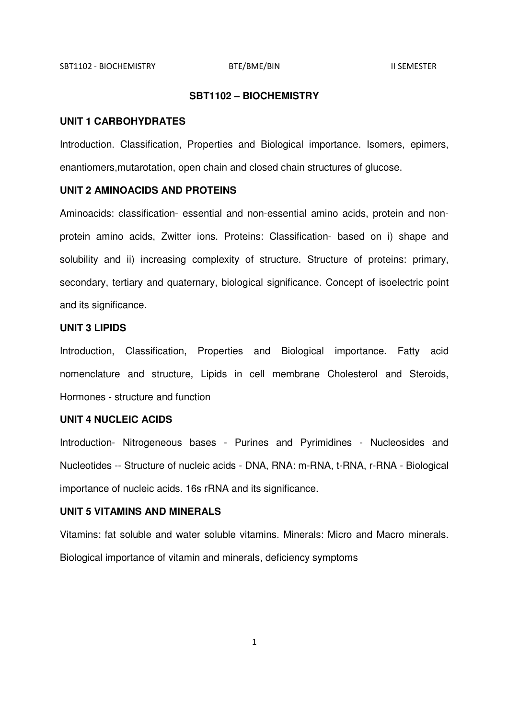## **SBT1102 – BIOCHEMISTRY**

#### **UNIT 1 CARBOHYDRATES**

Introduction. Classification, Properties and Biological importance. Isomers, epimers, enantiomers,mutarotation, open chain and closed chain structures of glucose.

#### **UNIT 2 AMINOACIDS AND PROTEINS**

Aminoacids: classification- essential and non-essential amino acids, protein and nonprotein amino acids, Zwitter ions. Proteins: Classification- based on i) shape and solubility and ii) increasing complexity of structure. Structure of proteins: primary, secondary, tertiary and quaternary, biological significance. Concept of isoelectric point and its significance.

# **UNIT 3 LIPIDS**

Introduction, Classification, Properties and Biological importance. Fatty acid nomenclature and structure, Lipids in cell membrane Cholesterol and Steroids, Hormones - structure and function

## **UNIT 4 NUCLEIC ACIDS**

Introduction- Nitrogeneous bases - Purines and Pyrimidines - Nucleosides and Nucleotides -- Structure of nucleic acids - DNA, RNA: m-RNA, t-RNA, r-RNA - Biological importance of nucleic acids. 16s rRNA and its significance.

# **UNIT 5 VITAMINS AND MINERALS**

Vitamins: fat soluble and water soluble vitamins. Minerals: Micro and Macro minerals. Biological importance of vitamin and minerals, deficiency symptoms

1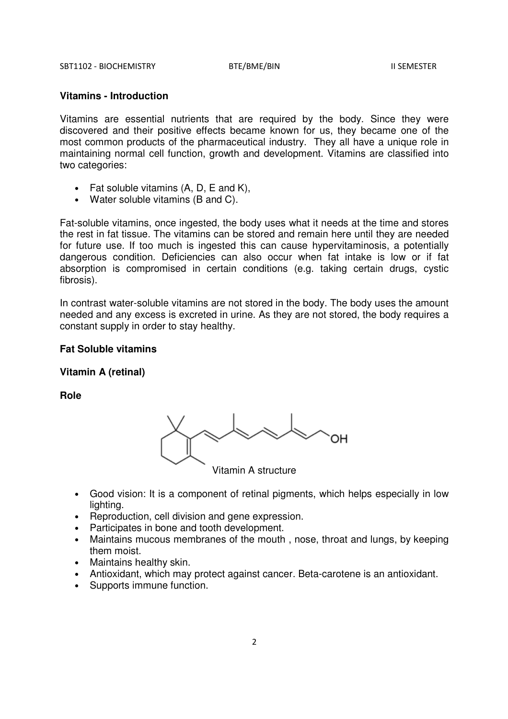## **Vitamins - Introduction**

Vitamins are essential nutrients that are required by the body. Since they were discovered and their positive effects became known for us, they became one of the most common products of the pharmaceutical industry. They all have a unique role in maintaining normal cell function, growth and development. Vitamins are classified into two categories:

- Fat soluble vitamins (A, D, E and K),
- Water soluble vitamins (B and C).

Fat-soluble vitamins, once ingested, the body uses what it needs at the time and stores the rest in fat tissue. The vitamins can be stored and remain here until they are needed for future use. If too much is ingested this can cause hypervitaminosis, a potentially dangerous condition. Deficiencies can also occur when fat intake is low or if fat absorption is compromised in certain conditions (e.g. taking certain drugs, cystic fibrosis).

In contrast water-soluble vitamins are not stored in the body. The body uses the amount needed and any excess is excreted in urine. As they are not stored, the body requires a constant supply in order to stay healthy.

# **Fat Soluble vitamins**

# **Vitamin A (retinal)**

**Role** 



Vitamin A structure

- Good vision: It is a component of retinal pigments, which helps especially in low lighting.
- Reproduction, cell division and gene expression.
- Participates in bone and tooth development.
- Maintains mucous membranes of the mouth , nose, throat and lungs, by keeping them moist.
- Maintains healthy skin.
- Antioxidant, which may protect against cancer. Beta-carotene is an antioxidant.
- Supports immune function.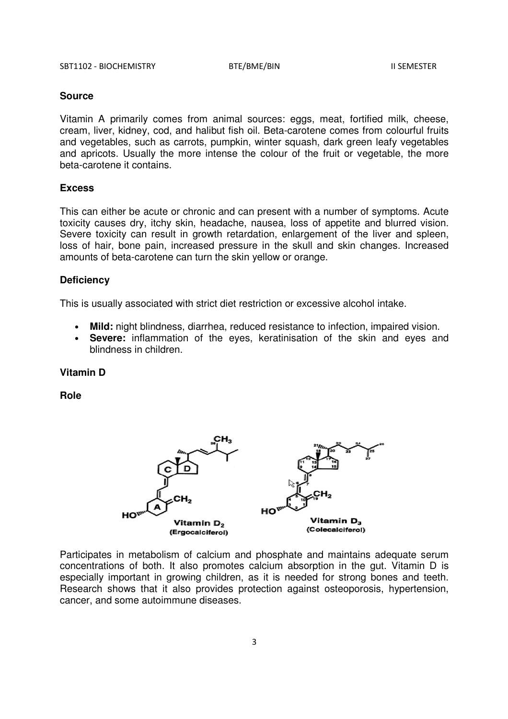Vitamin A primarily comes from animal sources: eggs, meat, fortified milk, cheese, cream, liver, kidney, cod, and halibut fish oil. Beta-carotene comes from colourful fruits and vegetables, such as carrots, pumpkin, winter squash, dark green leafy vegetables and apricots. Usually the more intense the colour of the fruit or vegetable, the more beta-carotene it contains.

#### **Excess**

This can either be acute or chronic and can present with a number of symptoms. Acute toxicity causes dry, itchy skin, headache, nausea, loss of appetite and blurred vision. Severe toxicity can result in growth retardation, enlargement of the liver and spleen, loss of hair, bone pain, increased pressure in the skull and skin changes. Increased amounts of beta-carotene can turn the skin yellow or orange.

#### **Deficiency**

This is usually associated with strict diet restriction or excessive alcohol intake.

- **Mild:** night blindness, diarrhea, reduced resistance to infection, impaired vision.
- **Severe:** inflammation of the eyes, keratinisation of the skin and eyes and blindness in children.

## **Vitamin D**

**Role** 



Participates in metabolism of calcium and phosphate and maintains adequate serum concentrations of both. It also promotes calcium absorption in the gut. Vitamin D is especially important in growing children, as it is needed for strong bones and teeth. Research shows that it also provides protection against osteoporosis, hypertension, cancer, and some autoimmune diseases.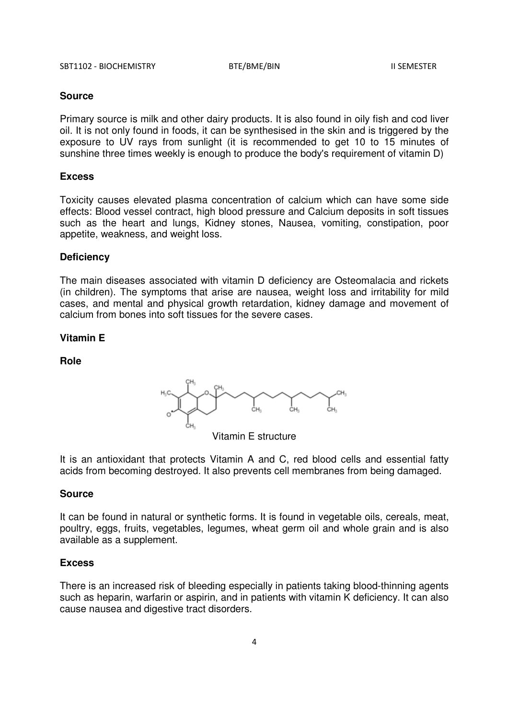Primary source is milk and other dairy products. It is also found in oily fish and cod liver oil. It is not only found in foods, it can be synthesised in the skin and is triggered by the exposure to UV rays from sunlight (it is recommended to get 10 to 15 minutes of sunshine three times weekly is enough to produce the body's requirement of vitamin D)

#### **Excess**

Toxicity causes elevated plasma concentration of calcium which can have some side effects: Blood vessel contract, high blood pressure and Calcium deposits in soft tissues such as the heart and lungs, Kidney stones, Nausea, vomiting, constipation, poor appetite, weakness, and weight loss.

## **Deficiency**

The main diseases associated with vitamin D deficiency are Osteomalacia and rickets (in children). The symptoms that arise are nausea, weight loss and irritability for mild cases, and mental and physical growth retardation, kidney damage and movement of calcium from bones into soft tissues for the severe cases.

# **Vitamin E**

**Role** 



Vitamin E structure

It is an antioxidant that protects Vitamin A and C, red blood cells and essential fatty acids from becoming destroyed. It also prevents cell membranes from being damaged.

# **Source**

It can be found in natural or synthetic forms. It is found in vegetable oils, cereals, meat, poultry, eggs, fruits, vegetables, legumes, wheat germ oil and whole grain and is also available as a supplement.

#### **Excess**

There is an increased risk of bleeding especially in patients taking blood-thinning agents such as heparin, warfarin or aspirin, and in patients with vitamin K deficiency. It can also cause nausea and digestive tract disorders.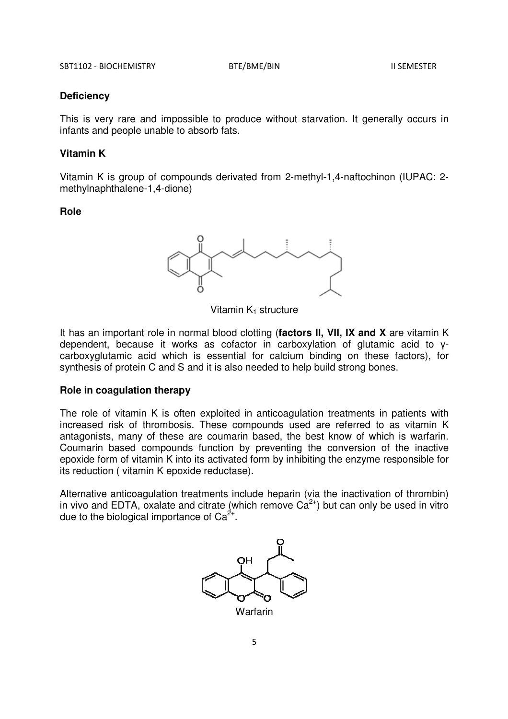#### **Deficiency**

This is very rare and impossible to produce without starvation. It generally occurs in infants and people unable to absorb fats.

#### **Vitamin K**

Vitamin K is group of compounds derivated from 2-methyl-1,4-naftochinon (IUPAC: 2 methylnaphthalene-1,4-dione)

# **Role**



Vitamin  $K_1$  structure

It has an important role in normal blood clotting (**factors II, VII, IX and X** are vitamin K dependent, because it works as cofactor in carboxylation of glutamic acid to γcarboxyglutamic acid which is essential for calcium binding on these factors), for synthesis of protein C and S and it is also needed to help build strong bones.

#### **Role in coagulation therapy**

The role of vitamin K is often exploited in anticoagulation treatments in patients with increased risk of thrombosis. These compounds used are referred to as vitamin K antagonists, many of these are coumarin based, the best know of which is warfarin. Coumarin based compounds function by preventing the conversion of the inactive epoxide form of vitamin K into its activated form by inhibiting the enzyme responsible for its reduction ( vitamin K epoxide reductase).

Alternative anticoagulation treatments include heparin (via the inactivation of thrombin) in vivo and EDTA, oxalate and citrate (which remove  $Ca^{2+}$ ) but can only be used in vitro due to the biological importance of  $Ca^{2+}$ .

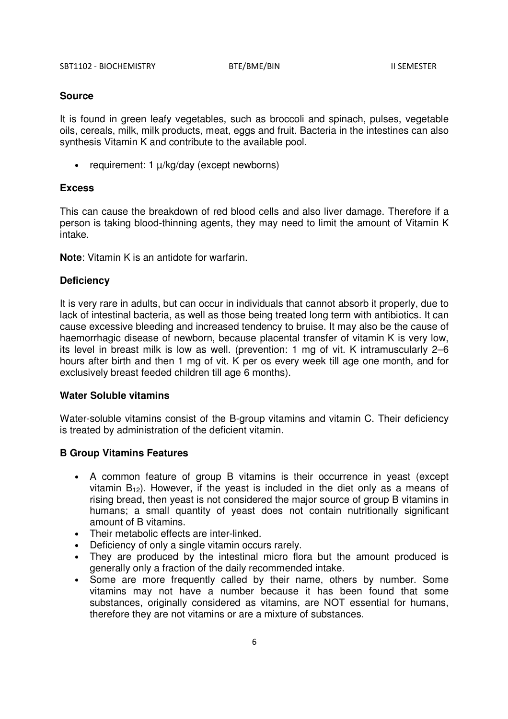It is found in green leafy vegetables, such as broccoli and spinach, pulses, vegetable oils, cereals, milk, milk products, meat, eggs and fruit. Bacteria in the intestines can also synthesis Vitamin K and contribute to the available pool.

• requirement: 1  $\mu$ /kg/day (except newborns)

#### **Excess**

This can cause the breakdown of red blood cells and also liver damage. Therefore if a person is taking blood-thinning agents, they may need to limit the amount of Vitamin K intake.

**Note**: Vitamin K is an antidote for warfarin.

#### **Deficiency**

It is very rare in adults, but can occur in individuals that cannot absorb it properly, due to lack of intestinal bacteria, as well as those being treated long term with antibiotics. It can cause excessive bleeding and increased tendency to bruise. It may also be the cause of haemorrhagic disease of newborn, because placental transfer of vitamin K is very low, its level in breast milk is low as well. (prevention: 1 mg of vit. K intramuscularly 2–6 hours after birth and then 1 mg of vit. K per os every week till age one month, and for exclusively breast feeded children till age 6 months).

#### **Water Soluble vitamins**

Water-soluble vitamins consist of the B-group vitamins and vitamin C. Their deficiency is treated by administration of the deficient vitamin.

## **B Group Vitamins Features**

- A common feature of group B vitamins is their occurrence in yeast (except vitamin  $B_{12}$ ). However, if the yeast is included in the diet only as a means of rising bread, then yeast is not considered the major source of group B vitamins in humans; a small quantity of yeast does not contain nutritionally significant amount of B vitamins.
- Their metabolic effects are inter-linked.
- Deficiency of only a single vitamin occurs rarely.
- They are produced by the intestinal micro flora but the amount produced is generally only a fraction of the daily recommended intake.
- Some are more frequently called by their name, others by number. Some vitamins may not have a number because it has been found that some substances, originally considered as vitamins, are NOT essential for humans, therefore they are not vitamins or are a mixture of substances.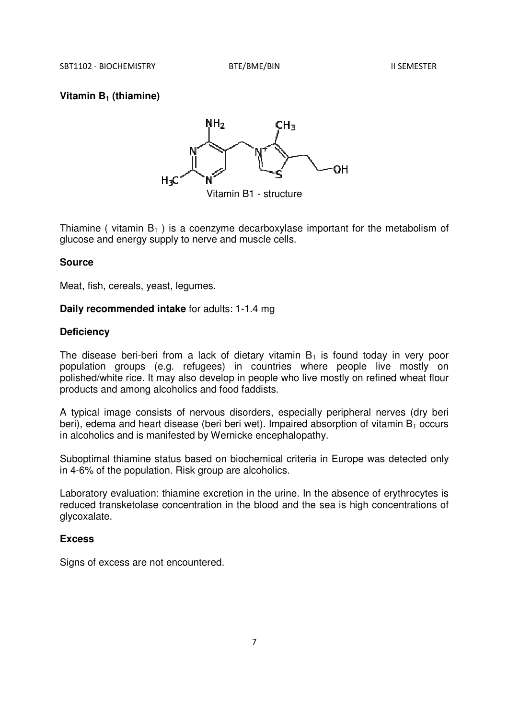# **Vitamin B1 (thiamine)**



Thiamine ( vitamin  $B_1$  ) is a coenzyme decarboxylase important for the metabolism of glucose and energy supply to nerve and muscle cells.

## **Source**

Meat, fish, cereals, yeast, legumes.

#### **Daily recommended intake** for adults: 1-1.4 mg

# **Deficiency**

The disease beri-beri from a lack of dietary vitamin  $B_1$  is found today in very poor population groups (e.g. refugees) in countries where people live mostly on polished/white rice. It may also develop in people who live mostly on refined wheat flour products and among alcoholics and food faddists.

A typical image consists of nervous disorders, especially peripheral nerves (dry beri beri), edema and heart disease (beri beri wet). Impaired absorption of vitamin  $B_1$  occurs in alcoholics and is manifested by Wernicke encephalopathy.

Suboptimal thiamine status based on biochemical criteria in Europe was detected only in 4-6% of the population. Risk group are alcoholics.

Laboratory evaluation: thiamine excretion in the urine. In the absence of erythrocytes is reduced transketolase concentration in the blood and the sea is high concentrations of glycoxalate.

## **Excess**

Signs of excess are not encountered.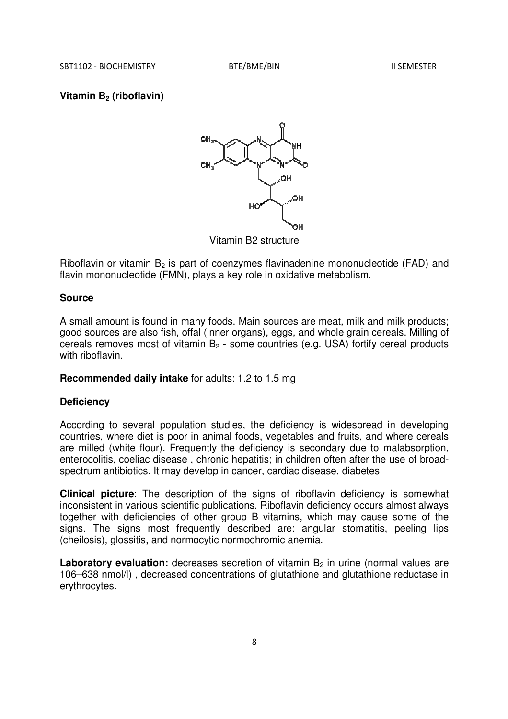#### **Vitamin B2 (riboflavin)**



Riboflavin or vitamin  $B_2$  is part of coenzymes flavinadenine mononucleotide (FAD) and flavin mononucleotide (FMN), plays a key role in oxidative metabolism.

# **Source**

A small amount is found in many foods. Main sources are meat, milk and milk products; good sources are also fish, offal (inner organs), eggs, and whole grain cereals. Milling of cereals removes most of vitamin  $B_2$  - some countries (e.g. USA) fortify cereal products with riboflavin.

# **Recommended daily intake** for adults: 1.2 to 1.5 mg

#### **Deficiency**

According to several population studies, the deficiency is widespread in developing countries, where diet is poor in animal foods, vegetables and fruits, and where cereals are milled (white flour). Frequently the deficiency is secondary due to malabsorption, enterocolitis, coeliac disease , chronic hepatitis; in children often after the use of broadspectrum antibiotics. It may develop in cancer, cardiac disease, diabetes

**Clinical picture**: The description of the signs of riboflavin deficiency is somewhat inconsistent in various scientific publications. Riboflavin deficiency occurs almost always together with deficiencies of other group B vitamins, which may cause some of the signs. The signs most frequently described are: angular stomatitis, peeling lips (cheilosis), glossitis, and normocytic normochromic anemia.

**Laboratory evaluation:** decreases secretion of vitamin B<sub>2</sub> in urine (normal values are 106–638 nmol/l) , decreased concentrations of glutathione and glutathione reductase in erythrocytes.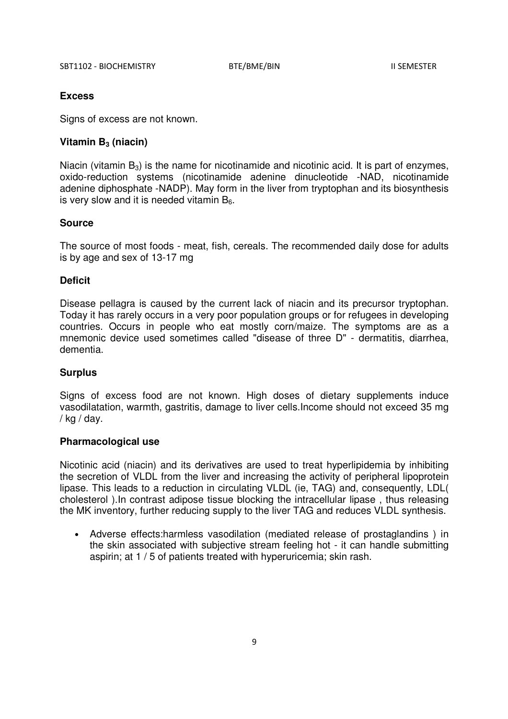# **Excess**

Signs of excess are not known.

# **Vitamin B3 (niacin)**

Niacin (vitamin  $B_3$ ) is the name for nicotinamide and nicotinic acid. It is part of enzymes, oxido-reduction systems (nicotinamide adenine dinucleotide -NAD, nicotinamide adenine diphosphate -NADP). May form in the liver from tryptophan and its biosynthesis is very slow and it is needed vitamin  $B_6$ .

# **Source**

The source of most foods - meat, fish, cereals. The recommended daily dose for adults is by age and sex of 13-17 mg

# **Deficit**

Disease pellagra is caused by the current lack of niacin and its precursor tryptophan. Today it has rarely occurs in a very poor population groups or for refugees in developing countries. Occurs in people who eat mostly corn/maize. The symptoms are as a mnemonic device used sometimes called "disease of three D" - dermatitis, diarrhea, dementia.

## **Surplus**

Signs of excess food are not known. High doses of dietary supplements induce vasodilatation, warmth, gastritis, damage to liver cells.Income should not exceed 35 mg / kg / day.

## **Pharmacological use**

Nicotinic acid (niacin) and its derivatives are used to treat hyperlipidemia by inhibiting the secretion of VLDL from the liver and increasing the activity of peripheral lipoprotein lipase. This leads to a reduction in circulating VLDL (ie, TAG) and, consequently, LDL( cholesterol ).In contrast adipose tissue blocking the intracellular lipase , thus releasing the MK inventory, further reducing supply to the liver TAG and reduces VLDL synthesis.

• Adverse effects:harmless vasodilation (mediated release of prostaglandins ) in the skin associated with subjective stream feeling hot - it can handle submitting aspirin; at 1 / 5 of patients treated with hyperuricemia; skin rash.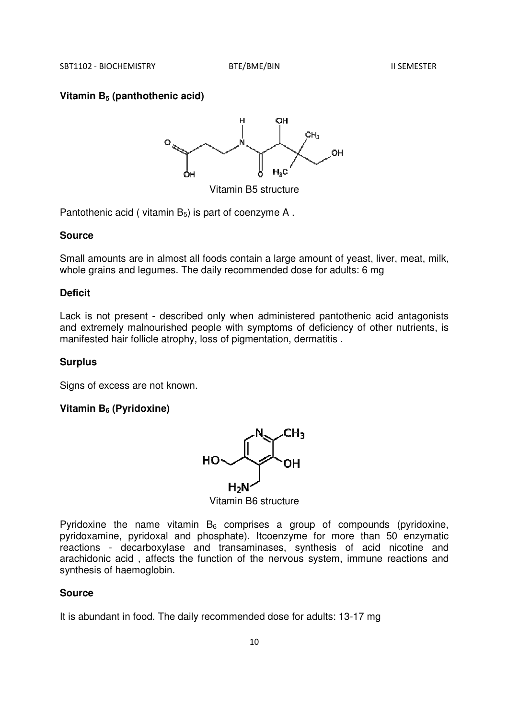## **Vitamin B5 (panthothenic acid)**



Vitamin B5 structure

Pantothenic acid ( vitamin  $B_5$ ) is part of coenzyme A.

#### **Source**

Small amounts are in almost all foods contain a large amount of yeast, liver, meat, milk, whole grains and legumes. The daily recommended dose for adults: 6 mg

#### **Deficit**

Lack is not present - described only when administered pantothenic acid antagonists and extremely malnourished people with symptoms of deficiency of other nutrients, is manifested hair follicle atrophy, loss of pigmentation, dermatitis .

#### **Surplus**

Signs of excess are not known.

# **Vitamin B6 (Pyridoxine)**



Vitamin B6 structure

Pyridoxine the name vitamin  $B_6$  comprises a group of compounds (pyridoxine, pyridoxamine, pyridoxal and phosphate). Itcoenzyme for more than 50 enzymatic reactions - decarboxylase and transaminases, synthesis of acid nicotine and arachidonic acid , affects the function of the nervous system, immune reactions and synthesis of haemoglobin.

# **Source**

It is abundant in food. The daily recommended dose for adults: 13-17 mg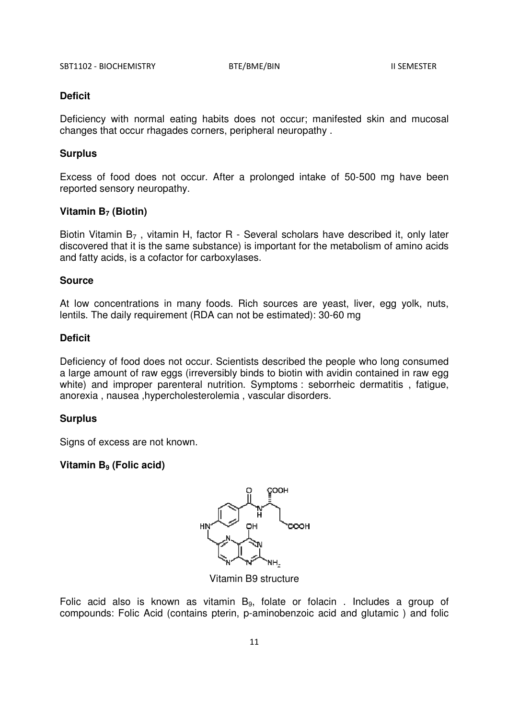# **Deficit**

Deficiency with normal eating habits does not occur; manifested skin and mucosal changes that occur rhagades corners, peripheral neuropathy .

# **Surplus**

Excess of food does not occur. After a prolonged intake of 50-500 mg have been reported sensory neuropathy.

# **Vitamin B7 (Biotin)**

Biotin Vitamin B<sub>7</sub>, vitamin H, factor R - Several scholars have described it, only later discovered that it is the same substance) is important for the metabolism of amino acids and fatty acids, is a cofactor for carboxylases.

## **Source**

At low concentrations in many foods. Rich sources are yeast, liver, egg yolk, nuts, lentils. The daily requirement (RDA can not be estimated): 30-60 mg

# **Deficit**

Deficiency of food does not occur. Scientists described the people who long consumed a large amount of raw eggs (irreversibly binds to biotin with avidin contained in raw egg white) and improper parenteral nutrition. Symptoms : seborrheic dermatitis , fatigue, anorexia , nausea ,hypercholesterolemia , vascular disorders.

# **Surplus**

Signs of excess are not known.

# **Vitamin B9 (Folic acid)**



Vitamin B9 structure

Folic acid also is known as vitamin  $B_9$ , folate or folacin. Includes a group of compounds: Folic Acid (contains pterin, p-aminobenzoic acid and glutamic ) and folic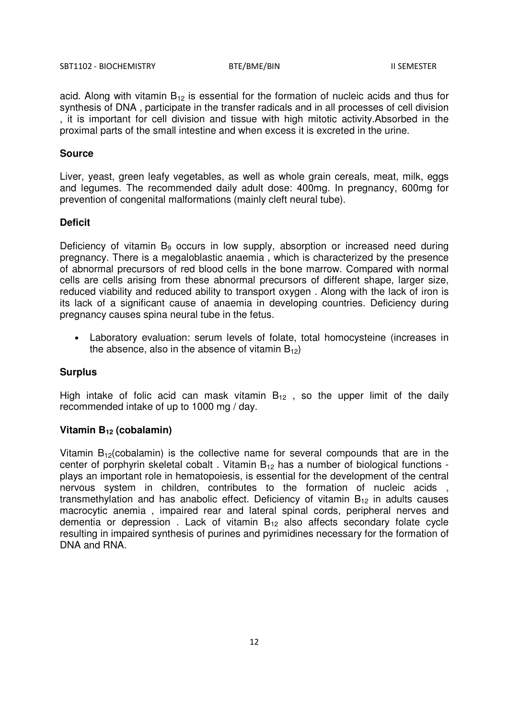acid. Along with vitamin  $B_{12}$  is essential for the formation of nucleic acids and thus for synthesis of DNA , participate in the transfer radicals and in all processes of cell division , it is important for cell division and tissue with high mitotic activity.Absorbed in the proximal parts of the small intestine and when excess it is excreted in the urine.

#### **Source**

Liver, yeast, green leafy vegetables, as well as whole grain cereals, meat, milk, eggs and legumes. The recommended daily adult dose: 400mg. In pregnancy, 600mg for prevention of congenital malformations (mainly cleft neural tube).

## **Deficit**

Deficiency of vitamin  $B<sub>9</sub>$  occurs in low supply, absorption or increased need during pregnancy. There is a megaloblastic anaemia , which is characterized by the presence of abnormal precursors of red blood cells in the bone marrow. Compared with normal cells are cells arising from these abnormal precursors of different shape, larger size, reduced viability and reduced ability to transport oxygen . Along with the lack of iron is its lack of a significant cause of anaemia in developing countries. Deficiency during pregnancy causes spina neural tube in the fetus.

• Laboratory evaluation: serum levels of folate, total homocysteine (increases in the absence, also in the absence of vitamin  $B_{12}$ )

#### **Surplus**

High intake of folic acid can mask vitamin  $B_{12}$ , so the upper limit of the daily recommended intake of up to 1000 mg / day.

## **Vitamin B12 (cobalamin)**

Vitamin  $B_{12}(cobalamin)$  is the collective name for several compounds that are in the center of porphyrin skeletal cobalt. Vitamin  $B_{12}$  has a number of biological functions plays an important role in hematopoiesis, is essential for the development of the central nervous system in children, contributes to the formation of nucleic acids , transmethylation and has anabolic effect. Deficiency of vitamin  $B_{12}$  in adults causes macrocytic anemia , impaired rear and lateral spinal cords, peripheral nerves and dementia or depression. Lack of vitamin  $B_{12}$  also affects secondary folate cycle resulting in impaired synthesis of purines and pyrimidines necessary for the formation of DNA and RNA.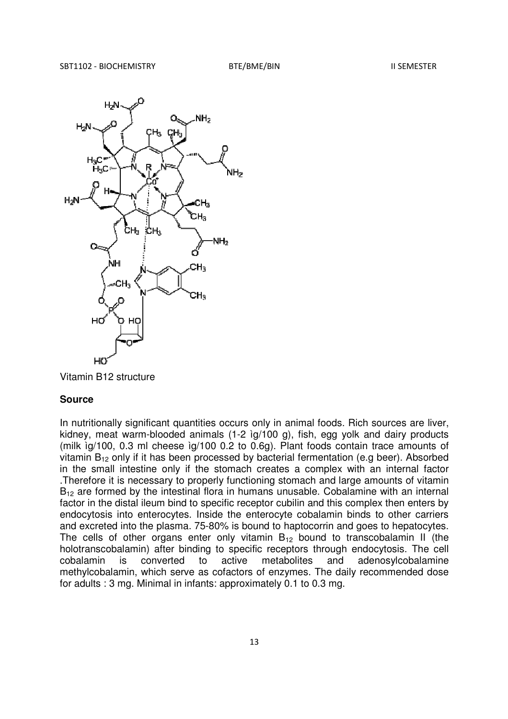

Vitamin B12 structure

In nutritionally significant quantities occurs only in animal foods. Rich sources are liver, kidney, meat warm-blooded animals (1-2 ìg/100 g), fish, egg yolk and dairy products (milk ìg/100, 0.3 ml cheese ìg/100 0.2 to 0.6g). Plant foods contain trace amounts of vitamin  $B_{12}$  only if it has been processed by bacterial fermentation (e.g beer). Absorbed in the small intestine only if the stomach creates a complex with an internal factor .Therefore it is necessary to properly functioning stomach and large amounts of vitamin B<sub>12</sub> are formed by the intestinal flora in humans unusable. Cobalamine with an internal factor in the distal ileum bind to specific receptor cubilin and this complex then enters by endocytosis into enterocytes. Inside the enterocyte cobalamin binds to other carriers and excreted into the plasma. 75-80% is bound to haptocorrin and goes to hepatocytes. The cells of other organs enter only vitamin  $B_{12}$  bound to transcobalamin II (the holotranscobalamin) after binding to specific receptors through endocytosis. The cell cobalamin is converted to active metabolites and adenosylcobalamine methylcobalamin, which serve as cofactors of enzymes. The daily recommended dose for adults : 3 mg. Minimal in infants: approximately 0.1 to 0.3 mg.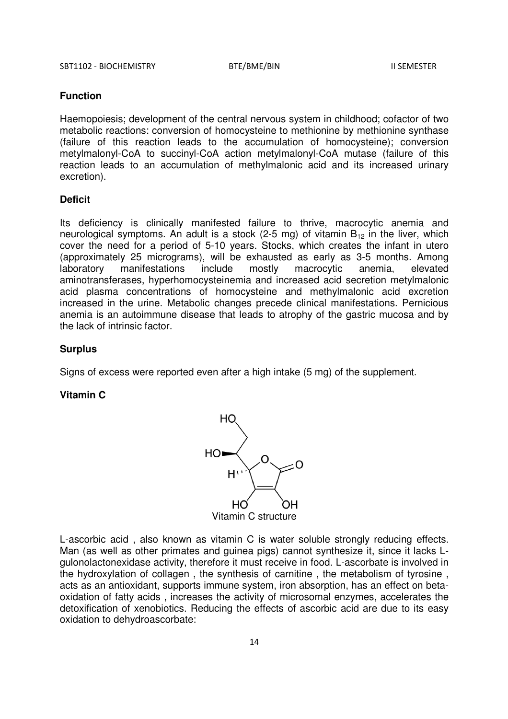#### **Function**

Haemopoiesis; development of the central nervous system in childhood; cofactor of two metabolic reactions: conversion of homocysteine to methionine by methionine synthase (failure of this reaction leads to the accumulation of homocysteine); conversion metylmalonyl-CoA to succinyl-CoA action metylmalonyl-CoA mutase (failure of this reaction leads to an accumulation of methylmalonic acid and its increased urinary excretion).

#### **Deficit**

Its deficiency is clinically manifested failure to thrive, macrocytic anemia and neurological symptoms. An adult is a stock (2-5 mg) of vitamin  $B_{12}$  in the liver, which cover the need for a period of 5-10 years. Stocks, which creates the infant in utero (approximately 25 micrograms), will be exhausted as early as 3-5 months. Among laboratory manifestations include mostly macrocytic anemia, elevated aminotransferases, hyperhomocysteinemia and increased acid secretion metylmalonic acid plasma concentrations of homocysteine and methylmalonic acid excretion increased in the urine. Metabolic changes precede clinical manifestations. Pernicious anemia is an autoimmune disease that leads to atrophy of the gastric mucosa and by the lack of intrinsic factor.

#### **Surplus**

Signs of excess were reported even after a high intake (5 mg) of the supplement.

# **Vitamin C**



L-ascorbic acid , also known as vitamin C is water soluble strongly reducing effects. Man (as well as other primates and guinea pigs) cannot synthesize it, since it lacks Lgulonolactonexidase activity, therefore it must receive in food. L-ascorbate is involved in the hydroxylation of collagen , the synthesis of carnitine , the metabolism of tyrosine , acts as an antioxidant, supports immune system, iron absorption, has an effect on betaoxidation of fatty acids , increases the activity of microsomal enzymes, accelerates the detoxification of xenobiotics. Reducing the effects of ascorbic acid are due to its easy oxidation to dehydroascorbate: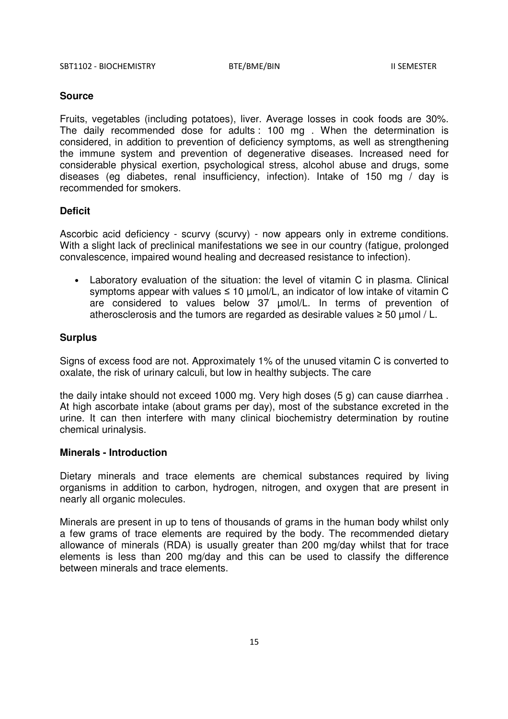Fruits, vegetables (including potatoes), liver. Average losses in cook foods are 30%. The daily recommended dose for adults : 100 mg . When the determination is considered, in addition to prevention of deficiency symptoms, as well as strengthening the immune system and prevention of degenerative diseases. Increased need for considerable physical exertion, psychological stress, alcohol abuse and drugs, some diseases (eg diabetes, renal insufficiency, infection). Intake of 150 mg / day is recommended for smokers.

## **Deficit**

Ascorbic acid deficiency - scurvy (scurvy) - now appears only in extreme conditions. With a slight lack of preclinical manifestations we see in our country (fatigue, prolonged convalescence, impaired wound healing and decreased resistance to infection).

• Laboratory evaluation of the situation: the level of vitamin C in plasma. Clinical symptoms appear with values  $\leq 10$  µmol/L, an indicator of low intake of vitamin C are considered to values below 37 µmol/L. In terms of prevention of atherosclerosis and the tumors are regarded as desirable values  $\geq$  50 µmol / L.

## **Surplus**

Signs of excess food are not. Approximately 1% of the unused vitamin C is converted to oxalate, the risk of urinary calculi, but low in healthy subjects. The care

the daily intake should not exceed 1000 mg. Very high doses (5 g) can cause diarrhea . At high ascorbate intake (about grams per day), most of the substance excreted in the urine. It can then interfere with many clinical biochemistry determination by routine chemical urinalysis.

## **Minerals - Introduction**

Dietary minerals and trace elements are chemical substances required by living organisms in addition to carbon, hydrogen, nitrogen, and oxygen that are present in nearly all organic molecules.

Minerals are present in up to tens of thousands of grams in the human body whilst only a few grams of trace elements are required by the body. The recommended dietary allowance of minerals (RDA) is usually greater than 200 mg/day whilst that for trace elements is less than 200 mg/day and this can be used to classify the difference between minerals and trace elements.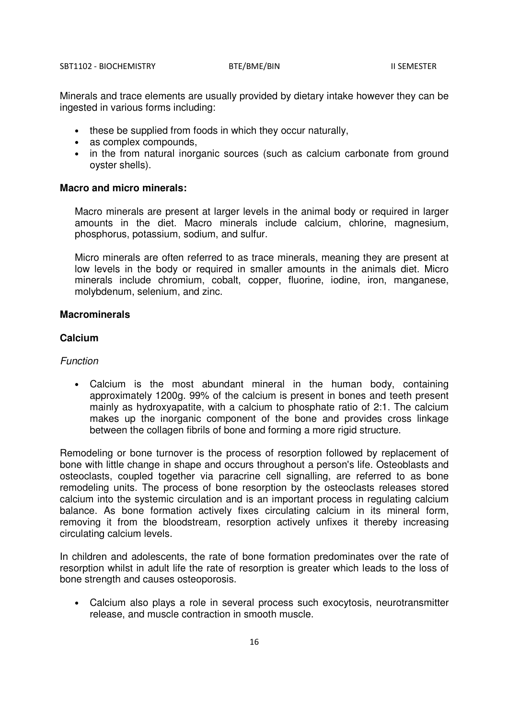Minerals and trace elements are usually provided by dietary intake however they can be ingested in various forms including:

- these be supplied from foods in which they occur naturally,
- as complex compounds,
- in the from natural inorganic sources (such as calcium carbonate from ground oyster shells).

## **Macro and micro minerals:**

Macro minerals are present at larger levels in the animal body or required in larger amounts in the diet. Macro minerals include calcium, chlorine, magnesium, phosphorus, potassium, sodium, and sulfur.

Micro minerals are often referred to as trace minerals, meaning they are present at low levels in the body or required in smaller amounts in the animals diet. Micro minerals include chromium, cobalt, copper, fluorine, iodine, iron, manganese, molybdenum, selenium, and zinc.

# **Macrominerals**

# **Calcium**

## Function

• Calcium is the most abundant mineral in the human body, containing approximately 1200g. 99% of the calcium is present in bones and teeth present mainly as hydroxyapatite, with a calcium to phosphate ratio of 2:1. The calcium makes up the inorganic component of the bone and provides cross linkage between the collagen fibrils of bone and forming a more rigid structure.

Remodeling or bone turnover is the process of resorption followed by replacement of bone with little change in shape and occurs throughout a person's life. Osteoblasts and osteoclasts, coupled together via paracrine cell signalling, are referred to as bone remodeling units. The process of bone resorption by the osteoclasts releases stored calcium into the systemic circulation and is an important process in regulating calcium balance. As bone formation actively fixes circulating calcium in its mineral form, removing it from the bloodstream, resorption actively unfixes it thereby increasing circulating calcium levels.

In children and adolescents, the rate of bone formation predominates over the rate of resorption whilst in adult life the rate of resorption is greater which leads to the loss of bone strength and causes osteoporosis.

• Calcium also plays a role in several process such exocytosis, neurotransmitter release, and muscle contraction in smooth muscle.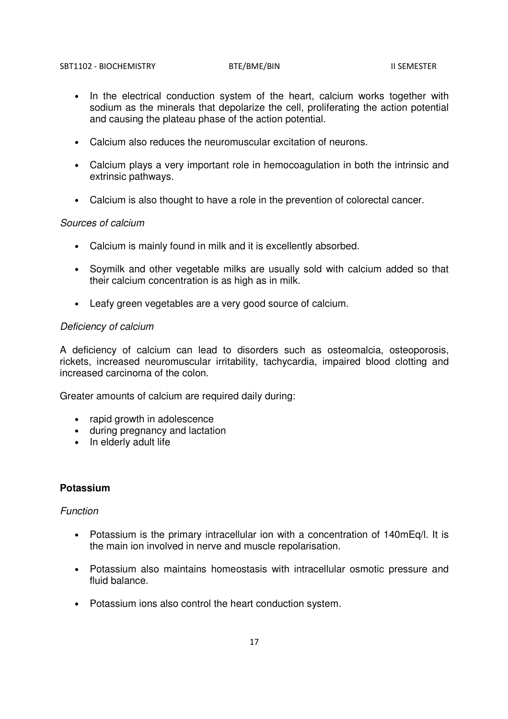- In the electrical conduction system of the heart, calcium works together with sodium as the minerals that depolarize the cell, proliferating the action potential and causing the plateau phase of the action potential.
- Calcium also reduces the neuromuscular excitation of neurons.
- Calcium plays a very important role in hemocoagulation in both the intrinsic and extrinsic pathways.
- Calcium is also thought to have a role in the prevention of colorectal cancer.

## Sources of calcium

- Calcium is mainly found in milk and it is excellently absorbed.
- Soymilk and other vegetable milks are usually sold with calcium added so that their calcium concentration is as high as in milk.
- Leafy green vegetables are a very good source of calcium.

## Deficiency of calcium

A deficiency of calcium can lead to disorders such as osteomalcia, osteoporosis, rickets, increased neuromuscular irritability, tachycardia, impaired blood clotting and increased carcinoma of the colon.

Greater amounts of calcium are required daily during:

- rapid growth in adolescence
- during pregnancy and lactation
- In elderly adult life

# **Potassium**

# Function

- Potassium is the primary intracellular ion with a concentration of 140mEq/l. It is the main ion involved in nerve and muscle repolarisation.
- Potassium also maintains homeostasis with intracellular osmotic pressure and fluid balance.
- Potassium ions also control the heart conduction system.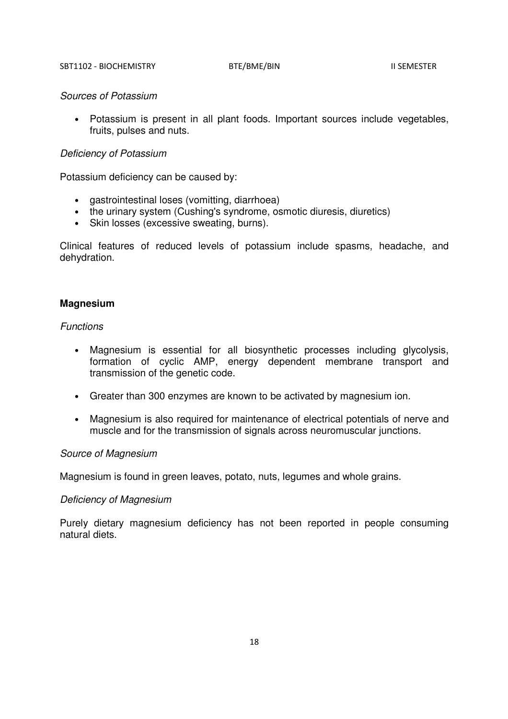#### Sources of Potassium

• Potassium is present in all plant foods. Important sources include vegetables, fruits, pulses and nuts.

## Deficiency of Potassium

Potassium deficiency can be caused by:

- gastrointestinal loses (vomitting, diarrhoea)
- the urinary system (Cushing's syndrome, osmotic diuresis, diuretics)
- Skin losses (excessive sweating, burns).

Clinical features of reduced levels of potassium include spasms, headache, and dehydration.

#### **Magnesium**

#### Functions

- Magnesium is essential for all biosynthetic processes including glycolysis, formation of cyclic AMP, energy dependent membrane transport and transmission of the genetic code.
- Greater than 300 enzymes are known to be activated by magnesium ion.
- Magnesium is also required for maintenance of electrical potentials of nerve and muscle and for the transmission of signals across neuromuscular junctions.

# Source of Magnesium

Magnesium is found in green leaves, potato, nuts, legumes and whole grains.

## Deficiency of Magnesium

Purely dietary magnesium deficiency has not been reported in people consuming natural diets.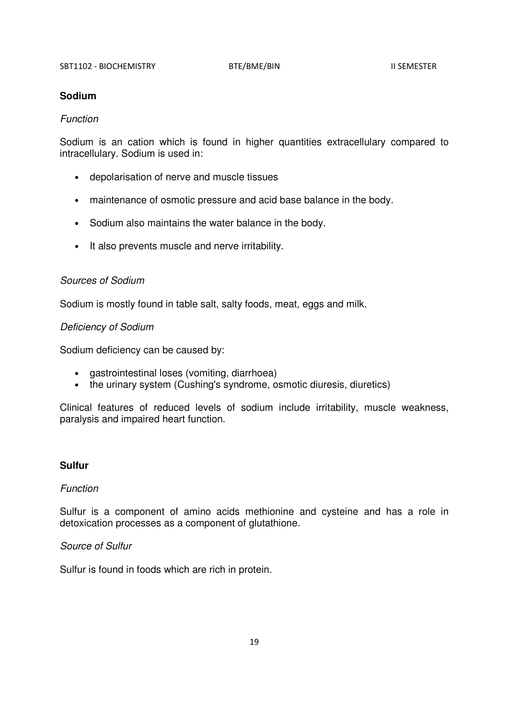# **Sodium**

## Function

Sodium is an cation which is found in higher quantities extracellulary compared to intracellulary. Sodium is used in:

- depolarisation of nerve and muscle tissues
- maintenance of osmotic pressure and acid base balance in the body.
- Sodium also maintains the water balance in the body.
- It also prevents muscle and nerve irritability.

# Sources of Sodium

Sodium is mostly found in table salt, salty foods, meat, eggs and milk.

# Deficiency of Sodium

Sodium deficiency can be caused by:

- gastrointestinal loses (vomiting, diarrhoea)
- the urinary system (Cushing's syndrome, osmotic diuresis, diuretics)

Clinical features of reduced levels of sodium include irritability, muscle weakness, paralysis and impaired heart function.

# **Sulfur**

# Function

Sulfur is a component of amino acids methionine and cysteine and has a role in detoxication processes as a component of glutathione.

# Source of Sulfur

Sulfur is found in foods which are rich in protein.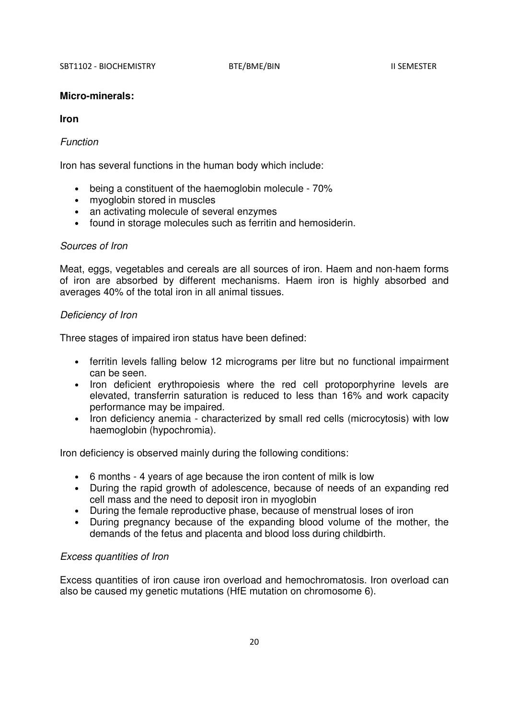#### **Micro-minerals:**

# **Iron**

#### Function

Iron has several functions in the human body which include:

- being a constituent of the haemoglobin molecule 70%
- myoglobin stored in muscles
- an activating molecule of several enzymes
- found in storage molecules such as ferritin and hemosiderin.

#### Sources of Iron

Meat, eggs, vegetables and cereals are all sources of iron. Haem and non-haem forms of iron are absorbed by different mechanisms. Haem iron is highly absorbed and averages 40% of the total iron in all animal tissues.

## Deficiency of Iron

Three stages of impaired iron status have been defined:

- ferritin levels falling below 12 micrograms per litre but no functional impairment can be seen.
- Iron deficient erythropoiesis where the red cell protoporphyrine levels are elevated, transferrin saturation is reduced to less than 16% and work capacity performance may be impaired.
- Iron deficiency anemia characterized by small red cells (microcytosis) with low haemoglobin (hypochromia).

Iron deficiency is observed mainly during the following conditions:

- 6 months 4 years of age because the iron content of milk is low
- During the rapid growth of adolescence, because of needs of an expanding red cell mass and the need to deposit iron in myoglobin
- During the female reproductive phase, because of menstrual loses of iron
- During pregnancy because of the expanding blood volume of the mother, the demands of the fetus and placenta and blood loss during childbirth.

## Excess quantities of Iron

Excess quantities of iron cause iron overload and hemochromatosis. Iron overload can also be caused my genetic mutations (HfE mutation on chromosome 6).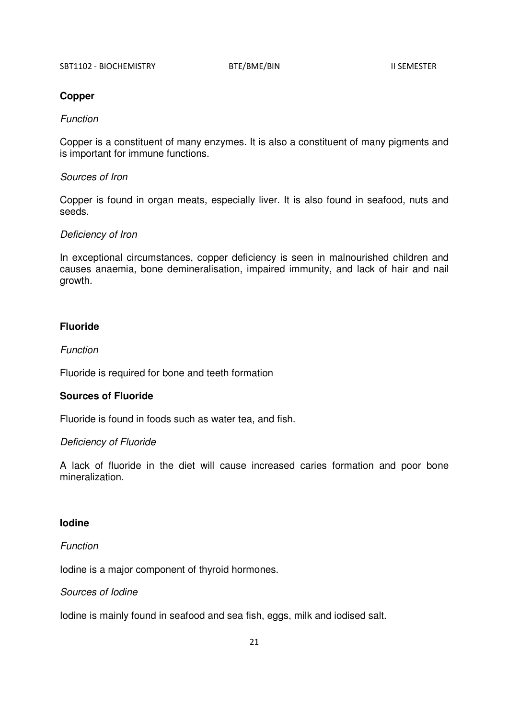# **Copper**

## Function

Copper is a constituent of many enzymes. It is also a constituent of many pigments and is important for immune functions.

# Sources of Iron

Copper is found in organ meats, especially liver. It is also found in seafood, nuts and seeds.

## Deficiency of Iron

In exceptional circumstances, copper deficiency is seen in malnourished children and causes anaemia, bone demineralisation, impaired immunity, and lack of hair and nail growth.

# **Fluoride**

# Function

Fluoride is required for bone and teeth formation

## **Sources of Fluoride**

Fluoride is found in foods such as water tea, and fish.

## Deficiency of Fluoride

A lack of fluoride in the diet will cause increased caries formation and poor bone mineralization.

# **Iodine**

# Function

Iodine is a major component of thyroid hormones.

# Sources of Iodine

Iodine is mainly found in seafood and sea fish, eggs, milk and iodised salt.